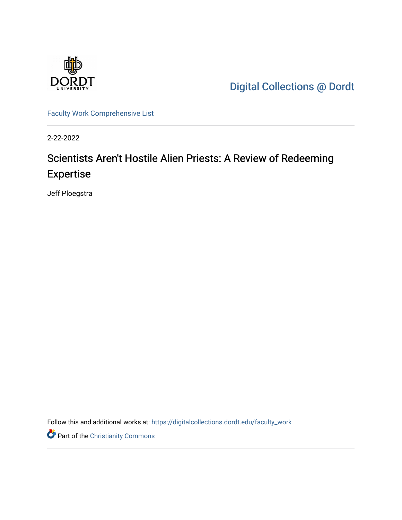

[Digital Collections @ Dordt](https://digitalcollections.dordt.edu/) 

[Faculty Work Comprehensive List](https://digitalcollections.dordt.edu/faculty_work)

2-22-2022

## Scientists Aren't Hostile Alien Priests: A Review of Redeeming Expertise

Jeff Ploegstra

Follow this and additional works at: [https://digitalcollections.dordt.edu/faculty\\_work](https://digitalcollections.dordt.edu/faculty_work?utm_source=digitalcollections.dordt.edu%2Ffaculty_work%2F1370&utm_medium=PDF&utm_campaign=PDFCoverPages) 

Part of the [Christianity Commons](http://network.bepress.com/hgg/discipline/1181?utm_source=digitalcollections.dordt.edu%2Ffaculty_work%2F1370&utm_medium=PDF&utm_campaign=PDFCoverPages)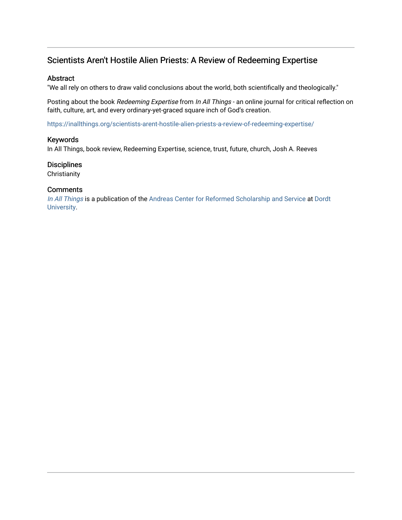## Scientists Aren't Hostile Alien Priests: A Review of Redeeming Expertise

#### Abstract

"We all rely on others to draw valid conclusions about the world, both scientifically and theologically."

Posting about the book Redeeming Expertise from In All Things - an online journal for critical reflection on faith, culture, art, and every ordinary-yet-graced square inch of God's creation.

<https://inallthings.org/scientists-arent-hostile-alien-priests-a-review-of-redeeming-expertise/>

#### Keywords

In All Things, book review, Redeeming Expertise, science, trust, future, church, Josh A. Reeves

### **Disciplines**

**Christianity** 

### **Comments**

[In All Things](http://inallthings.org/) is a publication of the [Andreas Center for Reformed Scholarship and Service](http://www.dordt.edu/services_support/andreas_center/) at Dordt [University](http://www.dordt.edu/).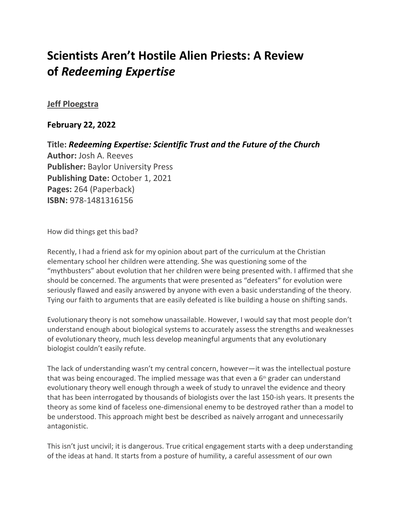# **Scientists Aren't Hostile Alien Priests: A Review of** *Redeeming Expertise*

### **[Jeff Ploegstra](https://inallthings.org/author/jeff-ploegstra/)**

### **February 22, 2022**

**Title:** *Redeeming Expertise: Scientific Trust and the Future of the Church* **Author:** Josh A. Reeves **Publisher:** Baylor University Press **Publishing Date:** October 1, 2021 **Pages:** 264 (Paperback) **ISBN:** 978-1481316156

How did things get this bad?

Recently, I had a friend ask for my opinion about part of the curriculum at the Christian elementary school her children were attending. She was questioning some of the "mythbusters" about evolution that her children were being presented with. I affirmed that she should be concerned. The arguments that were presented as "defeaters" for evolution were seriously flawed and easily answered by anyone with even a basic understanding of the theory. Tying our faith to arguments that are easily defeated is like building a house on shifting sands.

Evolutionary theory is not somehow unassailable. However, I would say that most people don't understand enough about biological systems to accurately assess the strengths and weaknesses of evolutionary theory, much less develop meaningful arguments that any evolutionary biologist couldn't easily refute.

The lack of understanding wasn't my central concern, however—it was the intellectual posture that was being encouraged. The implied message was that even a  $6<sup>th</sup>$  grader can understand evolutionary theory well enough through a week of study to unravel the evidence and theory that has been interrogated by thousands of biologists over the last 150-ish years. It presents the theory as some kind of faceless one-dimensional enemy to be destroyed rather than a model to be understood. This approach might best be described as naively arrogant and unnecessarily antagonistic.

This isn't just uncivil; it is dangerous. True critical engagement starts with a deep understanding of the ideas at hand. It starts from a posture of humility, a careful assessment of our own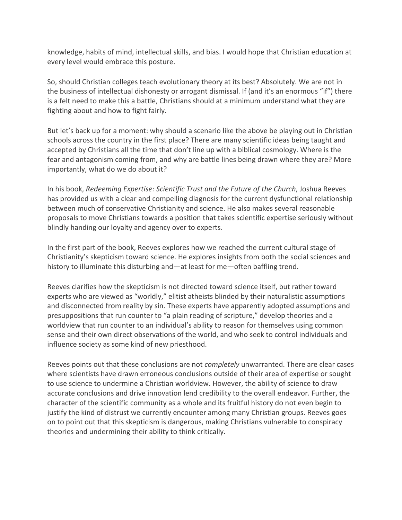knowledge, habits of mind, intellectual skills, and bias. I would hope that Christian education at every level would embrace this posture.

So, should Christian colleges teach evolutionary theory at its best? Absolutely. We are not in the business of intellectual dishonesty or arrogant dismissal. If (and it's an enormous "if") there is a felt need to make this a battle, Christians should at a minimum understand what they are fighting about and how to fight fairly.

But let's back up for a moment: why should a scenario like the above be playing out in Christian schools across the country in the first place? There are many scientific ideas being taught and accepted by Christians all the time that don't line up with a biblical cosmology. Where is the fear and antagonism coming from, and why are battle lines being drawn where they are? More importantly, what do we do about it?

In his book, *Redeeming Expertise: Scientific Trust and the Future of the Church*, Joshua Reeves has provided us with a clear and compelling diagnosis for the current dysfunctional relationship between much of conservative Christianity and science. He also makes several reasonable proposals to move Christians towards a position that takes scientific expertise seriously without blindly handing our loyalty and agency over to experts.

In the first part of the book, Reeves explores how we reached the current cultural stage of Christianity's skepticism toward science. He explores insights from both the social sciences and history to illuminate this disturbing and—at least for me—often baffling trend.

Reeves clarifies how the skepticism is not directed toward science itself, but rather toward experts who are viewed as "worldly," elitist atheists blinded by their naturalistic assumptions and disconnected from reality by sin. These experts have apparently adopted assumptions and presuppositions that run counter to "a plain reading of scripture," develop theories and a worldview that run counter to an individual's ability to reason for themselves using common sense and their own direct observations of the world, and who seek to control individuals and influence society as some kind of new priesthood.

Reeves points out that these conclusions are not *completely* unwarranted. There are clear cases where scientists have drawn erroneous conclusions outside of their area of expertise or sought to use science to undermine a Christian worldview. However, the ability of science to draw accurate conclusions and drive innovation lend credibility to the overall endeavor. Further, the character of the scientific community as a whole and its fruitful history do not even begin to justify the kind of distrust we currently encounter among many Christian groups. Reeves goes on to point out that this skepticism is dangerous, making Christians vulnerable to conspiracy theories and undermining their ability to think critically.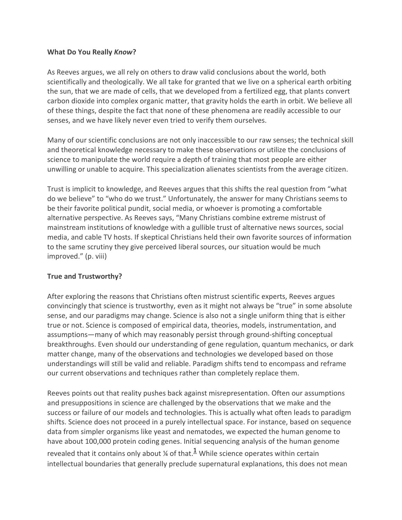### **What Do You Really** *Know***?**

As Reeves argues, we all rely on others to draw valid conclusions about the world, both scientifically and theologically. We all take for granted that we live on a spherical earth orbiting the sun, that we are made of cells, that we developed from a fertilized egg, that plants convert carbon dioxide into complex organic matter, that gravity holds the earth in orbit. We believe all of these things, despite the fact that none of these phenomena are readily accessible to our senses, and we have likely never even tried to verify them ourselves.

Many of our scientific conclusions are not only inaccessible to our raw senses; the technical skill and theoretical knowledge necessary to make these observations or utilize the conclusions of science to manipulate the world require a depth of training that most people are either unwilling or unable to acquire. This specialization alienates scientists from the average citizen.

Trust is implicit to knowledge, and Reeves argues that this shifts the real question from "what do we believe" to "who do we trust." Unfortunately, the answer for many Christians seems to be their favorite political pundit, social media, or whoever is promoting a comfortable alternative perspective. As Reeves says, "Many Christians combine extreme mistrust of mainstream institutions of knowledge with a gullible trust of alternative news sources, social media, and cable TV hosts. If skeptical Christians held their own favorite sources of information to the same scrutiny they give perceived liberal sources, our situation would be much improved." (p. viii)

### **True and Trustworthy?**

After exploring the reasons that Christians often mistrust scientific experts, Reeves argues convincingly that science is trustworthy, even as it might not always be "true" in some absolute sense, and our paradigms may change. Science is also not a single uniform thing that is either true or not. Science is composed of empirical data, theories, models, instrumentation, and assumptions—many of which may reasonably persist through ground-shifting conceptual breakthroughs. Even should our understanding of gene regulation, quantum mechanics, or dark matter change, many of the observations and technologies we developed based on those understandings will still be valid and reliable. Paradigm shifts tend to encompass and reframe our current observations and techniques rather than completely replace them.

Reeves points out that reality pushes back against misrepresentation. Often our assumptions and presuppositions in science are challenged by the observations that we make and the success or failure of our models and technologies. This is actually what often leads to paradigm shifts. Science does not proceed in a purely intellectual space. For instance, based on sequence data from simpler organisms like yeast and nematodes, we expected the human genome to have about 100,000 protein coding genes. Initial sequencing analysis of the human genome revealed that it contains only about  $\frac{1}{4}$  of that.<sup>1</sup> While science operates within certain intellectual boundaries that generally preclude supernatural explanations, this does not mean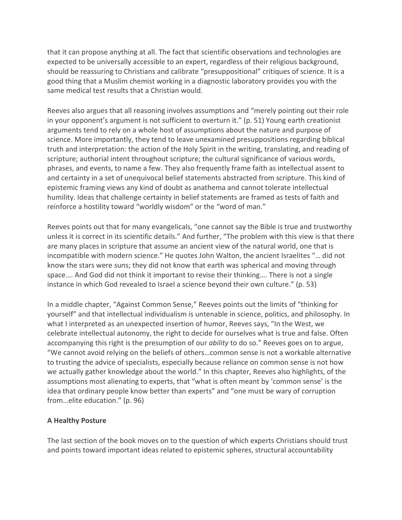that it can propose anything at all. The fact that scientific observations and technologies are expected to be universally accessible to an expert, regardless of their religious background, should be reassuring to Christians and calibrate "presuppositional" critiques of science. It is a good thing that a Muslim chemist working in a diagnostic laboratory provides you with the same medical test results that a Christian would.

Reeves also argues that all reasoning involves assumptions and "merely pointing out their role in your opponent's argument is not sufficient to overturn it." (p. 51) Young earth creationist arguments tend to rely on a whole host of assumptions about the nature and purpose of science. More importantly, they tend to leave unexamined presuppositions regarding biblical truth and interpretation: the action of the Holy Spirit in the writing, translating, and reading of scripture; authorial intent throughout scripture; the cultural significance of various words, phrases, and events, to name a few. They also frequently frame faith as intellectual assent to and certainty in a set of unequivocal belief statements abstracted from scripture. This kind of epistemic framing views any kind of doubt as anathema and cannot tolerate intellectual humility. Ideas that challenge certainty in belief statements are framed as tests of faith and reinforce a hostility toward "worldly wisdom" or the "word of man."

Reeves points out that for many evangelicals, "one cannot say the Bible is true and trustworthy unless it is correct in its scientific details." And further, "The problem with this view is that there are many places in scripture that assume an ancient view of the natural world, one that is incompatible with modern science." He quotes John Walton, the ancient Israelites "… did not know the stars were suns; they did not know that earth was spherical and moving through space…. And God did not think it important to revise their thinking…. There is not a single instance in which God revealed to Israel a science beyond their own culture." (p. 53)

In a middle chapter, "Against Common Sense," Reeves points out the limits of "thinking for yourself" and that intellectual individualism is untenable in science, politics, and philosophy. In what I interpreted as an unexpected insertion of humor, Reeves says, "In the West, we celebrate intellectual autonomy, the right to decide for ourselves what is true and false. Often accompanying this right is the presumption of our *ability* to do so." Reeves goes on to argue, "We cannot avoid relying on the beliefs of others…common sense is not a workable alternative to trusting the advice of specialists, especially because reliance on common sense is not how we actually gather knowledge about the world." In this chapter, Reeves also highlights, of the assumptions most alienating to experts, that "what is often meant by 'common sense' is the idea that ordinary people know better than experts" and "one must be wary of corruption from…elite education." (p. 96)

### **A Healthy Posture**

The last section of the book moves on to the question of which experts Christians should trust and points toward important ideas related to epistemic spheres, structural accountability